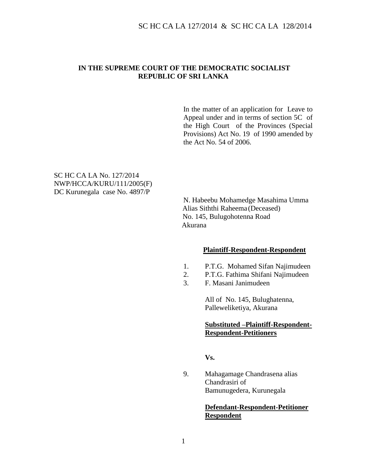### **IN THE SUPREME COURT OF THE DEMOCRATIC SOCIALIST REPUBLIC OF SRI LANKA**

In the matter of an application for Leave to Appeal under and in terms of section 5C of the High Court of the Provinces (Special Provisions) Act No. 19 of 1990 amended by the Act No. 54 of 2006.

SC HC CA LA No. 127/2014 NWP/HCCA/KURU/111/2005(F) DC Kurunegala case No. 4897/P

> N. Habeebu Mohamedge Masahima Umma Alias Siththi Raheema (Deceased) No. 145, Bulugohotenna Road Akurana

#### **Plaintiff-Respondent-Respondent**

- 1. P.T.G. Mohamed Sifan Najimudeen
- 2. P.T.G. Fathima Shifani Najimudeen
- 3. F. Masani Janimudeen

All of No. 145, Bulughatenna, Palleweliketiya, Akurana

#### **Substituted –Plaintiff-Respondent-Respondent-Petitioners**

**Vs.** 

9. Mahagamage Chandrasena alias Chandrasiri of Bamunugedera, Kurunegala

### **Defendant-Respondent-Petitioner Respondent**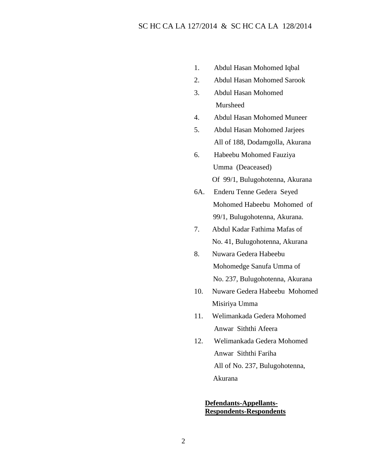- 1. Abdul Hasan Mohomed Iqbal
- 2. Abdul Hasan Mohomed Sarook
- 3. Abdul Hasan Mohomed Mursheed
- 4. Abdul Hasan Mohomed Muneer
- 5. Abdul Hasan Mohomed Jarjees All of 188, Dodamgolla, Akurana
- 6. Habeebu Mohomed Fauziya Umma (Deaceased) Of 99/1, Bulugohotenna, Akurana
- 6A. Enderu Tenne Gedera Seyed Mohomed Habeebu Mohomed of 99/1, Bulugohotenna, Akurana.
- 7. Abdul Kadar Fathima Mafas of No. 41, Bulugohotenna, Akurana
- 8. Nuwara Gedera Habeebu Mohomedge Sanufa Umma of No. 237, Bulugohotenna, Akurana
- 10. Nuware Gedera Habeebu Mohomed Misiriya Umma
- 11. Welimankada Gedera Mohomed Anwar Siththi Afeera
- 12. Welimankada Gedera Mohomed Anwar Siththi Fariha All of No. 237, Bulugohotenna, Akurana

#### **Defendants-Appellants-Respondents-Respondents**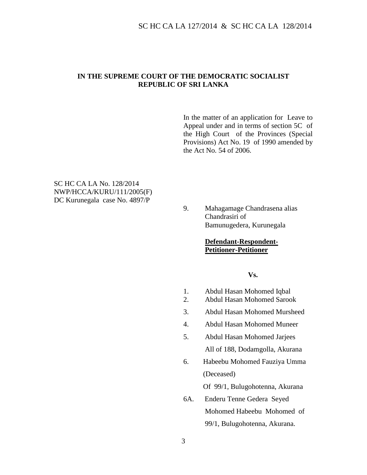#### **IN THE SUPREME COURT OF THE DEMOCRATIC SOCIALIST REPUBLIC OF SRI LANKA**

In the matter of an application for Leave to Appeal under and in terms of section 5C of the High Court of the Provinces (Special Provisions) Act No. 19 of 1990 amended by the Act No. 54 of 2006.

SC HC CA LA No. 128/2014 NWP/HCCA/KURU/111/2005(F) DC Kurunegala case No. 4897/P

> 9. Mahagamage Chandrasena alias Chandrasiri of Bamunugedera, Kurunegala

#### **Defendant-Respondent-Petitioner-Petitioner**

#### **Vs.**

- 1. Abdul Hasan Mohomed Iqbal
- 2. Abdul Hasan Mohomed Sarook
- 3. Abdul Hasan Mohomed Mursheed
- 4. Abdul Hasan Mohomed Muneer
- 5. Abdul Hasan Mohomed Jarjees All of 188, Dodamgolla, Akurana
- 6. Habeebu Mohomed Fauziya Umma (Deceased)

Of 99/1, Bulugohotenna, Akurana

6A. Enderu Tenne Gedera Seyed Mohomed Habeebu Mohomed of 99/1, Bulugohotenna, Akurana.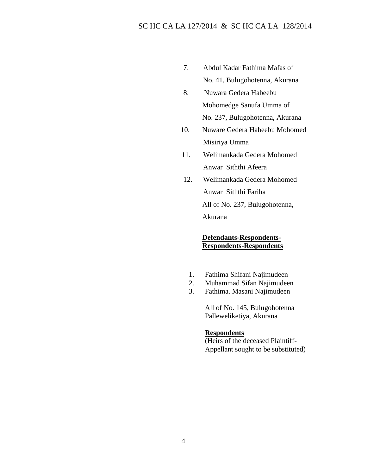- 7. Abdul Kadar Fathima Mafas of No. 41, Bulugohotenna, Akurana
- 8. Nuwara Gedera Habeebu Mohomedge Sanufa Umma of No. 237, Bulugohotenna, Akurana
- 10. Nuware Gedera Habeebu Mohomed Misiriya Umma
- 11. Welimankada Gedera Mohomed Anwar Siththi Afeera
- 12. Welimankada Gedera Mohomed Anwar Siththi Fariha All of No. 237, Bulugohotenna, Akurana

### **Defendants-Respondents-Respondents-Respondents**

- 1. Fathima Shifani Najimudeen
- 2. Muhammad Sifan Najimudeen
- 3. Fathima. Masani Najimudeen

All of No. 145, Bulugohotenna Palleweliketiya, Akurana

#### **Respondents**

(Heirs of the deceased Plaintiff-Appellant sought to be substituted)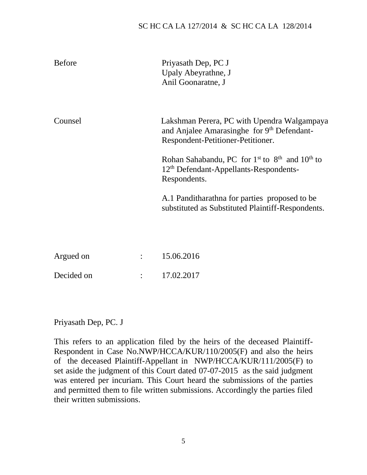## SC HC CA LA 127/2014 & SC HC CA LA 128/2014

| <b>Before</b> | Priyasath Dep, PC J<br>Upaly Abeyrathne, J<br>Anil Goonaratne, J                                                               |
|---------------|--------------------------------------------------------------------------------------------------------------------------------|
| Counsel       | Lakshman Perera, PC with Upendra Walgampaya<br>and Anjalee Amarasinghe for 9th Defendant-<br>Respondent-Petitioner-Petitioner. |
|               | Rohan Sahabandu, PC for $1st$ to $8th$ and $10th$ to<br>12 <sup>th</sup> Defendant-Appellants-Respondents-<br>Respondents.     |
|               | A.1 Panditharathna for parties proposed to be<br>substituted as Substituted Plaintiff-Respondents.                             |

| Argued on  | 15.06.2016 |
|------------|------------|
| Decided on | 17.02.2017 |

Priyasath Dep, PC. J

This refers to an application filed by the heirs of the deceased Plaintiff-Respondent in Case No.NWP/HCCA/KUR/110/2005(F) and also the heirs of the deceased Plaintiff-Appellant in NWP/HCCA/KUR/111/2005(F) to set aside the judgment of this Court dated 07-07-2015 as the said judgment was entered per incuriam. This Court heard the submissions of the parties and permitted them to file written submissions. Accordingly the parties filed their written submissions.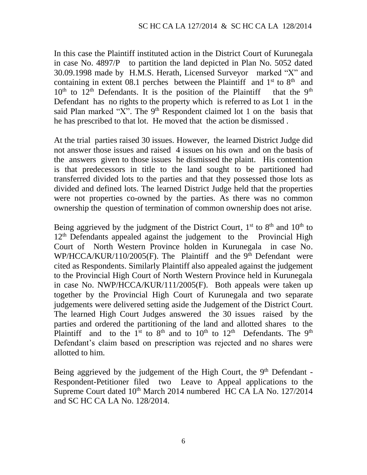In this case the Plaintiff instituted action in the District Court of Kurunegala in case No. 4897/P to partition the land depicted in Plan No. 5052 dated 30.09.1998 made by H.M.S. Herath, Licensed Surveyor marked "X" and containing in extent 08.1 perches between the Plaintiff and  $1<sup>st</sup>$  to  $8<sup>th</sup>$  and  $10<sup>th</sup>$  to  $12<sup>th</sup>$  Defendants. It is the position of the Plaintiff that the 9<sup>th</sup> Defendant has no rights to the property which is referred to as Lot 1 in the said Plan marked "X". The  $9<sup>th</sup>$  Respondent claimed lot 1 on the basis that he has prescribed to that lot. He moved that the action be dismissed .

At the trial parties raised 30 issues. However, the learned District Judge did not answer those issues and raised 4 issues on his own and on the basis of the answers given to those issues he dismissed the plaint. His contention is that predecessors in title to the land sought to be partitioned had transferred divided lots to the parties and that they possessed those lots as divided and defined lots. The learned District Judge held that the properties were not properties co-owned by the parties. As there was no common ownership the question of termination of common ownership does not arise.

Being aggrieved by the judgment of the District Court,  $1<sup>st</sup>$  to  $8<sup>th</sup>$  and  $10<sup>th</sup>$  to  $12<sup>th</sup>$  Defendants appealed against the judgement to the Provincial High Court of North Western Province holden in Kurunegala in case No. WP/HCCA/KUR/110/2005(F). The Plaintiff and the 9<sup>th</sup> Defendant were cited as Respondents. Similarly Plaintiff also appealed against the judgement to the Provincial High Court of North Western Province held in Kurunegala in case No. NWP/HCCA/KUR/111/2005(F). Both appeals were taken up together by the Provincial High Court of Kurunegala and two separate judgements were delivered setting aside the Judgement of the District Court. The learned High Court Judges answered the 30 issues raised by the parties and ordered the partitioning of the land and allotted shares to the Plaintiff and to the 1<sup>st</sup> to 8<sup>th</sup> and to 10<sup>th</sup> to 12<sup>th</sup> Defendants. The 9<sup>th</sup> Defendant's claim based on prescription was rejected and no shares were allotted to him.

Being aggrieved by the judgement of the High Court, the 9<sup>th</sup> Defendant -Respondent-Petitioner filed two Leave to Appeal applications to the Supreme Court dated 10<sup>th</sup> March 2014 numbered HC CA LA No. 127/2014 and SC HC CA LA No. 128/2014.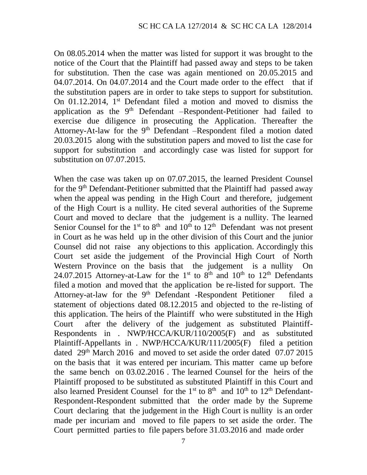On 08.05.2014 when the matter was listed for support it was brought to the notice of the Court that the Plaintiff had passed away and steps to be taken for substitution. Then the case was again mentioned on 20.05.2015 and 04.07.2014. On 04.07.2014 and the Court made order to the effect that if the substitution papers are in order to take steps to support for substitution. On 01.12.2014, 1<sup>st</sup> Defendant filed a motion and moved to dismiss the application as the  $9<sup>th</sup>$  Defendant –Respondent-Petitioner had failed to exercise due diligence in prosecuting the Application. Thereafter the Attorney-At-law for the 9<sup>th</sup> Defendant –Respondent filed a motion dated 20.03.2015 along with the substitution papers and moved to list the case for support for substitution and accordingly case was listed for support for substitution on 07.07.2015.

When the case was taken up on 07.07.2015, the learned President Counsel for the 9<sup>th</sup> Defendant-Petitioner submitted that the Plaintiff had passed away when the appeal was pending in the High Court and therefore, judgement of the High Court is a nullity. He cited several authorities of the Supreme Court and moved to declare that the judgement is a nullity. The learned Senior Counsel for the  $1<sup>st</sup>$  to  $8<sup>th</sup>$  and  $10<sup>th</sup>$  to  $12<sup>th</sup>$  Defendant was not present in Court as he was held up in the other division of this Court and the junior Counsel did not raise any objections to this application. Accordingly this Court set aside the judgement of the Provincial High Court of North Western Province on the basis that the judgement is a nullity On 24.07.2015 Attorney-at-Law for the 1<sup>st</sup> to 8<sup>th</sup> and 10<sup>th</sup> to 12<sup>th</sup> Defendants filed a motion and moved that the application be re-listed for support. The Attorney-at-law for the 9<sup>th</sup> Defendant -Respondent Petitioner filed a statement of objections dated 08.12.2015 and objected to the re-listing of this application. The heirs of the Plaintiff who were substituted in the High Court after the delivery of the judgement as substituted Plaintiff-Respondents in . NWP/HCCA/KUR/110/2005(F) and as substituted Plaintiff-Appellants in . NWP/HCCA/KUR/111/2005(F) filed a petition dated  $29<sup>th</sup>$  March 2016 and moved to set aside the order dated 07.07 2015 on the basis that it was entered per incuriam. This matter came up before the same bench on 03.02.2016 . The learned Counsel for the heirs of the Plaintiff proposed to be substituted as substituted Plaintiff in this Court and also learned President Counsel for the  $1<sup>st</sup>$  to  $8<sup>th</sup>$  and  $10<sup>th</sup>$  to  $12<sup>th</sup>$  Defendant-Respondent-Respondent submitted that the order made by the Supreme Court declaring that the judgement in the High Court is nullity is an order made per incuriam and moved to file papers to set aside the order. The Court permitted parties to file papers before 31.03.2016 and made order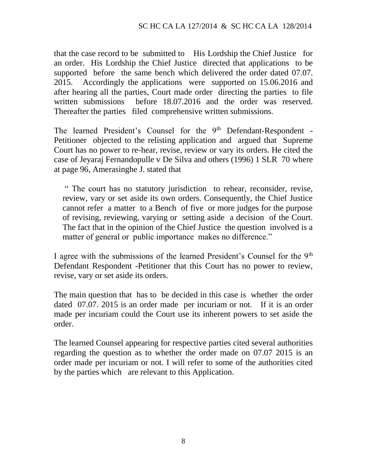that the case record to be submitted to His Lordship the Chief Justice for an order. His Lordship the Chief Justice directed that applications to be supported before the same bench which delivered the order dated 07.07. 2015. Accordingly the applications were supported on 15.06.2016 and after hearing all the parties, Court made order directing the parties to file written submissions before 18.07.2016 and the order was reserved. Thereafter the parties filed comprehensive written submissions.

The learned President's Counsel for the 9<sup>th</sup> Defendant-Respondent -Petitioner objected to the relisting application and argued that Supreme Court has no power to re-hear, revise, review or vary its orders. He cited the case of Jeyaraj Fernandopulle v De Silva and others (1996) 1 SLR 70 where at page 96, Amerasinghe J. stated that

" The court has no statutory jurisdiction to rehear, reconsider, revise, review, vary or set aside its own orders. Consequently, the Chief Justice cannot refer a matter to a Bench of five or more judges for the purpose of revising, reviewing, varying or setting aside a decision of the Court. The fact that in the opinion of the Chief Justice the question involved is a matter of general or public importance makes no difference."

I agree with the submissions of the learned President's Counsel for the 9<sup>th</sup> Defendant Respondent -Petitioner that this Court has no power to review, revise, vary or set aside its orders.

The main question that has to be decided in this case is whether the order dated 07.07. 2015 is an order made per incuriam or not. If it is an order made per incuriam could the Court use its inherent powers to set aside the order.

The learned Counsel appearing for respective parties cited several authorities regarding the question as to whether the order made on 07.07 2015 is an order made per incuriam or not. I will refer to some of the authorities cited by the parties which are relevant to this Application.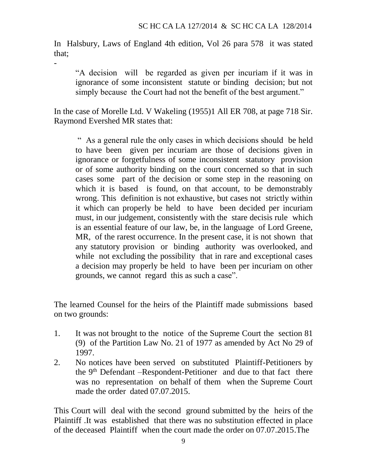In Halsbury, Laws of England 4th edition, Vol 26 para 578 it was stated that;

-

"A decision will be regarded as given per incuriam if it was in ignorance of some inconsistent statute or binding decision; but not simply because the Court had not the benefit of the best argument."

In the case of Morelle Ltd. V Wakeling (1955)1 All ER 708, at page 718 Sir. Raymond Evershed MR states that:

" As a general rule the only cases in which decisions should be held to have been given per incuriam are those of decisions given in ignorance or forgetfulness of some inconsistent statutory provision or of some authority binding on the court concerned so that in such cases some part of the decision or some step in the reasoning on which it is based is found, on that account, to be demonstrably wrong. This definition is not exhaustive, but cases not strictly within it which can properly be held to have been decided per incuriam must, in our judgement, consistently with the stare decisis rule which is an essential feature of our law, be, in the language of Lord Greene, MR, of the rarest occurrence. In the present case, it is not shown that any statutory provision or binding authority was overlooked, and while not excluding the possibility that in rare and exceptional cases a decision may properly be held to have been per incuriam on other grounds, we cannot regard this as such a case".

The learned Counsel for the heirs of the Plaintiff made submissions based on two grounds:

- 1. It was not brought to the notice of the Supreme Court the section 81 (9) of the Partition Law No. 21 of 1977 as amended by Act No 29 of 1997.
- 2. No notices have been served on substituted Plaintiff-Petitioners by the 9<sup>th</sup> Defendant –Respondent-Petitioner and due to that fact there was no representation on behalf of them when the Supreme Court made the order dated 07.07.2015.

This Court will deal with the second ground submitted by the heirs of the Plaintiff .It was established that there was no substitution effected in place of the deceased Plaintiff when the court made the order on 07.07.2015.The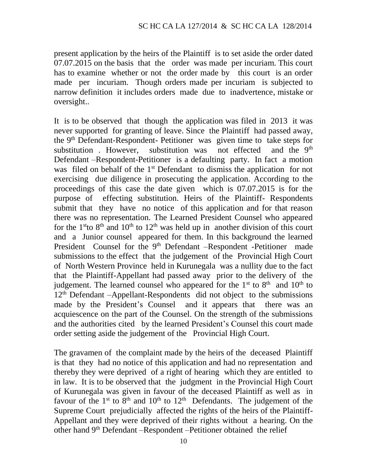present application by the heirs of the Plaintiff is to set aside the order dated 07.07.2015 on the basis that the order was made per incuriam. This court has to examine whether or not the order made by this court is an order made per incuriam. Though orders made per incuriam is subjected to narrow definition it includes orders made due to inadvertence, mistake or oversight..

It is to be observed that though the application was filed in 2013 it was never supported for granting of leave. Since the Plaintiff had passed away, the  $9<sup>th</sup>$  Defendant-Respondent- Petitioner was given time to take steps for substitution . However, substitution was not effected and the 9<sup>th</sup> Defendant –Respondent-Petitioner is a defaulting party. In fact a motion was filed on behalf of the 1<sup>st</sup> Defendant to dismiss the application for not exercising due diligence in prosecuting the application. According to the proceedings of this case the date given which is 07.07.2015 is for the purpose of effecting substitution. Heirs of the Plaintiff- Respondents submit that they have no notice of this application and for that reason there was no representation. The Learned President Counsel who appeared for the 1<sup>st</sup>to 8<sup>th</sup> and 10<sup>th</sup> to 12<sup>th</sup> was held up in another division of this court and a Junior counsel appeared for them. In this background the learned President Counsel for the 9<sup>th</sup> Defendant –Respondent -Petitioner made submissions to the effect that the judgement of the Provincial High Court of North Western Province held in Kurunegala was a nullity due to the fact that the Plaintiff-Appellant had passed away prior to the delivery of the judgement. The learned counsel who appeared for the  $1<sup>st</sup>$  to  $8<sup>th</sup>$  and  $10<sup>th</sup>$  to  $12<sup>th</sup>$  Defendant –Appellant-Respondents did not object to the submissions made by the President's Counsel and it appears that there was an acquiescence on the part of the Counsel. On the strength of the submissions and the authorities cited by the learned President's Counsel this court made order setting aside the judgement of the Provincial High Court.

The gravamen of the complaint made by the heirs of the deceased Plaintiff is that they had no notice of this application and had no representation and thereby they were deprived of a right of hearing which they are entitled to in law. It is to be observed that the judgment in the Provincial High Court of Kurunegala was given in favour of the deceased Plaintiff as well as in favour of the  $1<sup>st</sup>$  to  $8<sup>th</sup>$  and  $10<sup>th</sup>$  to  $12<sup>th</sup>$  Defendants. The judgement of the Supreme Court prejudicially affected the rights of the heirs of the Plaintiff-Appellant and they were deprived of their rights without a hearing. On the other hand 9th Defendant –Respondent –Petitioner obtained the relief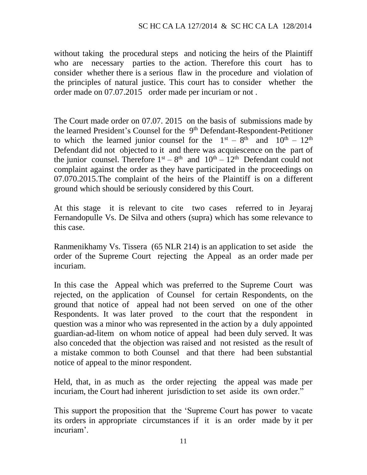without taking the procedural steps and noticing the heirs of the Plaintiff who are necessary parties to the action. Therefore this court has to consider whether there is a serious flaw in the procedure and violation of the principles of natural justice. This court has to consider whether the order made on 07.07.2015 order made per incuriam or not .

The Court made order on 07.07. 2015 on the basis of submissions made by the learned President's Counsel for the 9<sup>th</sup> Defendant-Respondent-Petitioner to which the learned junior counsel for the  $1<sup>st</sup> - 8<sup>th</sup>$  and  $10<sup>th</sup> - 12<sup>th</sup>$ Defendant did not objected to it and there was acquiescence on the part of the junior counsel. Therefore  $1<sup>st</sup> - 8<sup>th</sup>$  and  $10<sup>th</sup> - 12<sup>th</sup>$  Defendant could not complaint against the order as they have participated in the proceedings on 07.070.2015.The complaint of the heirs of the Plaintiff is on a different ground which should be seriously considered by this Court.

At this stage it is relevant to cite two cases referred to in Jeyaraj Fernandopulle Vs. De Silva and others (supra) which has some relevance to this case.

Ranmenikhamy Vs. Tissera (65 NLR 214) is an application to set aside the order of the Supreme Court rejecting the Appeal as an order made per incuriam.

In this case the Appeal which was preferred to the Supreme Court was rejected, on the application of Counsel for certain Respondents, on the ground that notice of appeal had not been served on one of the other Respondents. It was later proved to the court that the respondent in question was a minor who was represented in the action by a duly appointed guardian-ad-litem on whom notice of appeal had been duly served. It was also conceded that the objection was raised and not resisted as the result of a mistake common to both Counsel and that there had been substantial notice of appeal to the minor respondent.

Held, that, in as much as the order rejecting the appeal was made per incuriam, the Court had inherent jurisdiction to set aside its own order."

This support the proposition that the 'Supreme Court has power to vacate its orders in appropriate circumstances if it is an order made by it per incuriam'.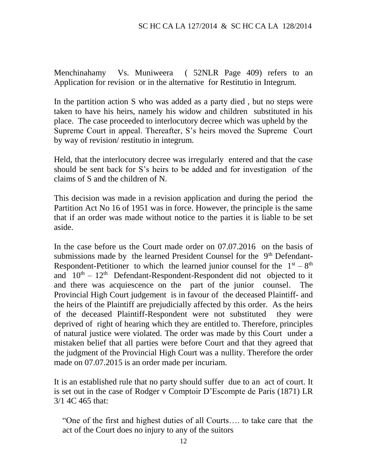Menchinahamy Vs. Muniweera ( 52NLR Page 409) refers to an Application for revision or in the alternative for Restitutio in Integrum.

In the partition action S who was added as a party died, but no steps were taken to have his heirs, namely his widow and children substituted in his place. The case proceeded to interlocutory decree which was upheld by the Supreme Court in appeal. Thereafter, S's heirs moved the Supreme Court by way of revision/ restitutio in integrum.

Held, that the interlocutory decree was irregularly entered and that the case should be sent back for S's heirs to be added and for investigation of the claims of S and the children of N.

This decision was made in a revision application and during the period the Partition Act No 16 of 1951 was in force. However, the principle is the same that if an order was made without notice to the parties it is liable to be set aside.

In the case before us the Court made order on 07.07.2016 on the basis of submissions made by the learned President Counsel for the 9<sup>th</sup> Defendant-Respondent-Petitioner to which the learned junior counsel for the  $1<sup>st</sup> - 8<sup>th</sup>$ and  $10<sup>th</sup> - 12<sup>th</sup>$  Defendant-Respondent-Respondent did not objected to it and there was acquiescence on the part of the junior counsel. The Provincial High Court judgement is in favour of the deceased Plaintiff- and the heirs of the Plaintiff are prejudicially affected by this order. As the heirs of the deceased Plaintiff-Respondent were not substituted they were deprived of right of hearing which they are entitled to. Therefore, principles of natural justice were violated. The order was made by this Court under a mistaken belief that all parties were before Court and that they agreed that the judgment of the Provincial High Court was a nullity. Therefore the order made on 07.07.2015 is an order made per incuriam.

It is an established rule that no party should suffer due to an act of court. It is set out in the case of Rodger v Comptoir D'Escompte de Paris (1871) LR 3/1 4C 465 that:

"One of the first and highest duties of all Courts…. to take care that the act of the Court does no injury to any of the suitors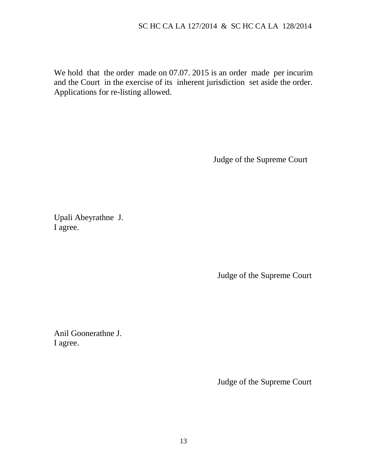We hold that the order made on 07.07. 2015 is an order made per incurim and the Court in the exercise of its inherent jurisdiction set aside the order. Applications for re-listing allowed.

Judge of the Supreme Court

Upali Abeyrathne J. I agree.

Judge of the Supreme Court

Anil Goonerathne J. I agree.

Judge of the Supreme Court